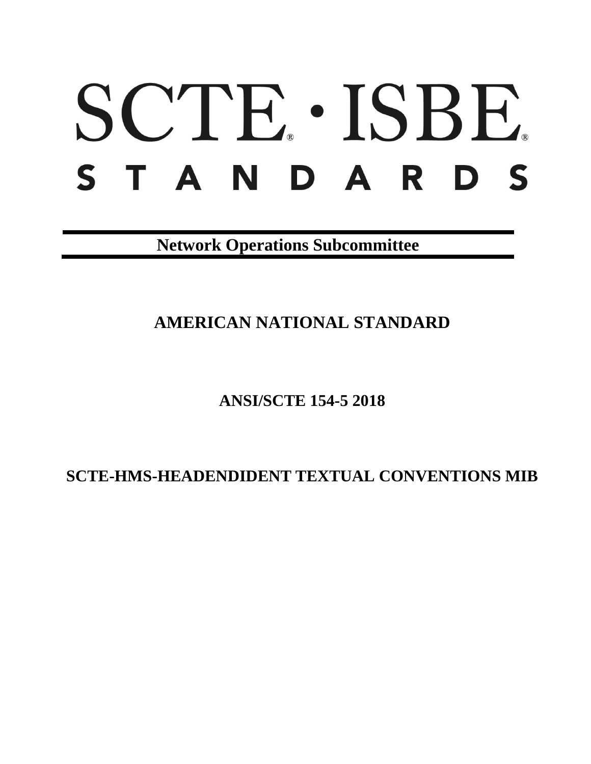# SCTE · ISBE. STANDARDS

**Network Operations Subcommittee**

**AMERICAN NATIONAL STANDARD**

**ANSI/SCTE 154-5 2018**

**SCTE-HMS-HEADENDIDENT TEXTUAL CONVENTIONS MIB**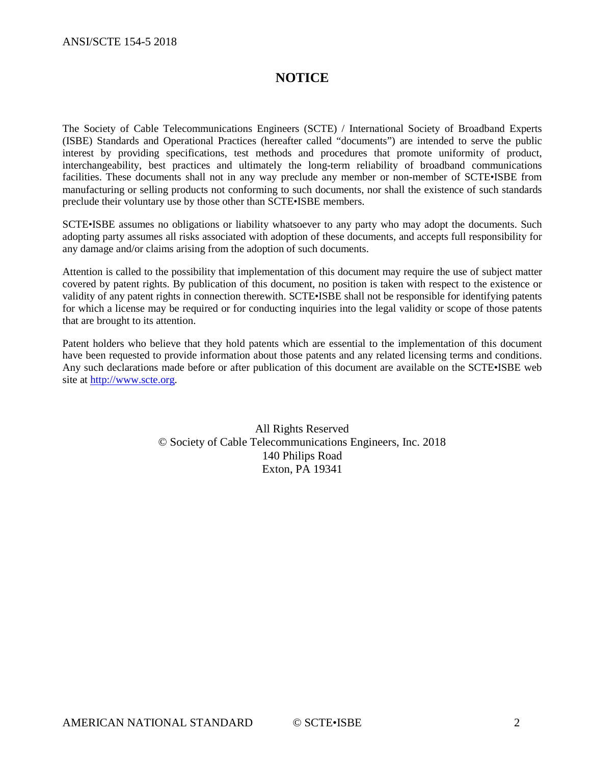# **NOTICE**

The Society of Cable Telecommunications Engineers (SCTE) / International Society of Broadband Experts (ISBE) Standards and Operational Practices (hereafter called "documents") are intended to serve the public interest by providing specifications, test methods and procedures that promote uniformity of product, interchangeability, best practices and ultimately the long-term reliability of broadband communications facilities. These documents shall not in any way preclude any member or non-member of SCTE•ISBE from manufacturing or selling products not conforming to such documents, nor shall the existence of such standards preclude their voluntary use by those other than SCTE•ISBE members.

SCTE•ISBE assumes no obligations or liability whatsoever to any party who may adopt the documents. Such adopting party assumes all risks associated with adoption of these documents, and accepts full responsibility for any damage and/or claims arising from the adoption of such documents.

Attention is called to the possibility that implementation of this document may require the use of subject matter covered by patent rights. By publication of this document, no position is taken with respect to the existence or validity of any patent rights in connection therewith. SCTE•ISBE shall not be responsible for identifying patents for which a license may be required or for conducting inquiries into the legal validity or scope of those patents that are brought to its attention.

Patent holders who believe that they hold patents which are essential to the implementation of this document have been requested to provide information about those patents and any related licensing terms and conditions. Any such declarations made before or after publication of this document are available on the SCTE•ISBE web site at [http://www.scte.org.](http://www.scte.org/)

> All Rights Reserved © Society of Cable Telecommunications Engineers, Inc. 2018 140 Philips Road Exton, PA 19341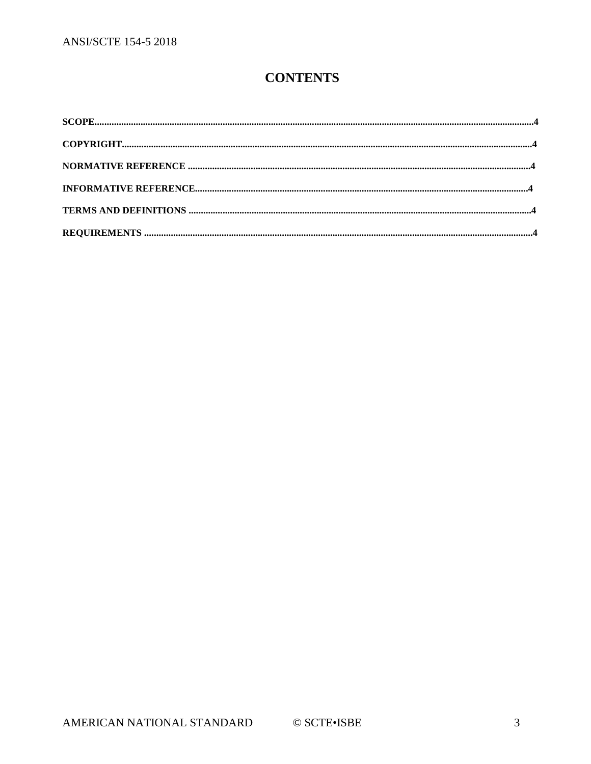# **CONTENTS**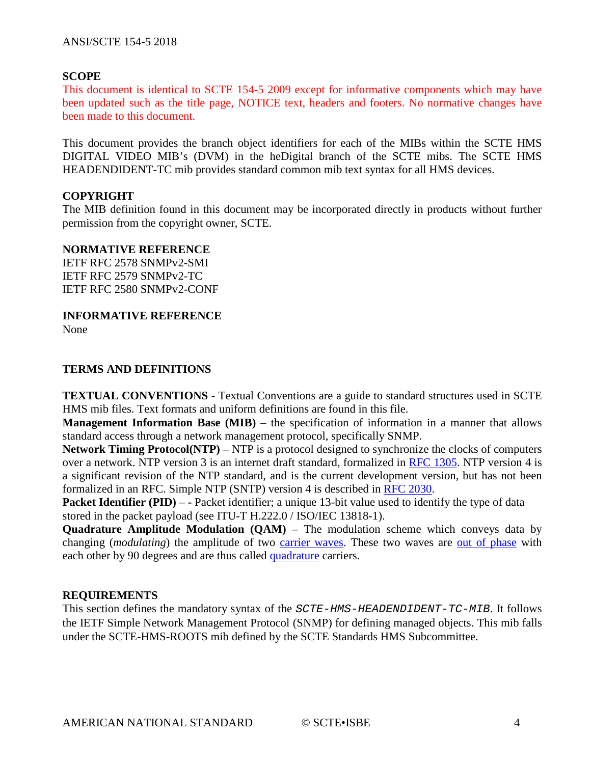# **SCOPE**

This document is identical to SCTE 154-5 2009 except for informative components which may have been updated such as the title page, NOTICE text, headers and footers. No normative changes have been made to this document.

This document provides the branch object identifiers for each of the MIBs within the SCTE HMS DIGITAL VIDEO MIB's (DVM) in the heDigital branch of the SCTE mibs. The SCTE HMS HEADENDIDENT-TC mib provides standard common mib text syntax for all HMS devices.

# **COPYRIGHT**

The MIB definition found in this document may be incorporated directly in products without further permission from the copyright owner, SCTE.

### **NORMATIVE REFERENCE**

IETF RFC 2578 SNMPv2-SMI IETF RFC 2579 SNMPv2-TC IETF RFC 2580 SNMPv2-CONF

**INFORMATIVE REFERENCE**

None

# **TERMS AND DEFINITIONS**

**TEXTUAL CONVENTIONS -** Textual Conventions are a guide to standard structures used in SCTE HMS mib files. Text formats and uniform definitions are found in this file.

**Management Information Base (MIB)** – the specification of information in a manner that allows standard access through a network management protocol, specifically SNMP.

**Network Timing Protocol(NTP)** – NTP is a protocol designed to synchronize the clocks of computers over a network. NTP version 3 is an internet draft standard, formalized in [RFC 1305.](http://www.eecis.udel.edu/%7Emills/database/rfc/rfc1305/) NTP version 4 is a significant revision of the NTP standard, and is the current development version, but has not been formalized in an RFC. Simple NTP (SNTP) version 4 is described in [RFC 2030.](http://www.eecis.udel.edu/%7Emills/database/rfc/rfc2030.txt)

**Packet Identifier (PID) – -** Packet identifier; a unique 13-bit value used to identify the type of data stored in the packet payload (see ITU-T H.222.0 / ISO/IEC 13818-1).

**Quadrature Amplitude Modulation (QAM)** – The modulation scheme which conveys data by changing (*modulating*) the amplitude of two [carrier waves.](http://en.wikipedia.org/wiki/Carrier_wave) These two waves are [out of phase](http://en.wikipedia.org/wiki/Out_of_phase) with each other by 90 degrees and are thus called [quadrature](http://en.wikipedia.org/wiki/Quadrature) carriers.

# **REQUIREMENTS**

This section defines the mandatory syntax of the *SCTE-HMS-HEADENDIDENT-TC-MIB*. It follows the IETF Simple Network Management Protocol (SNMP) for defining managed objects. This mib falls under the SCTE-HMS-ROOTS mib defined by the SCTE Standards HMS Subcommittee.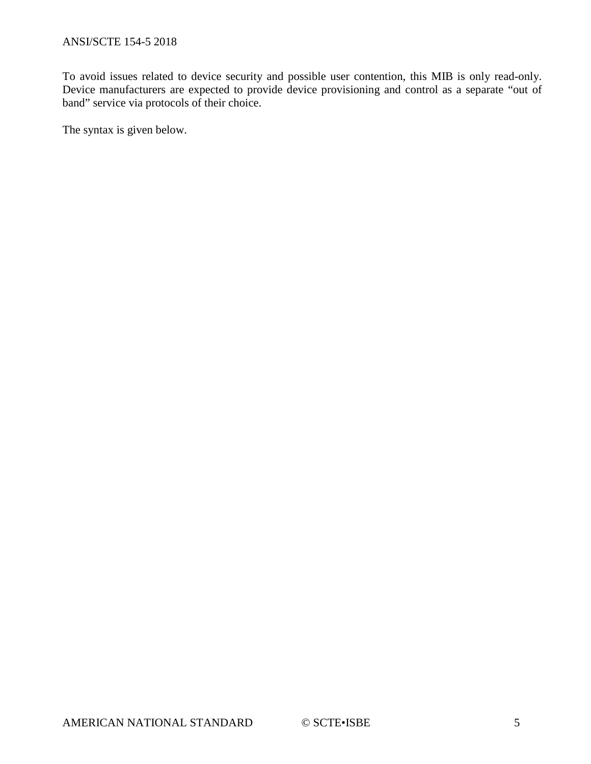To avoid issues related to device security and possible user contention, this MIB is only read-only. Device manufacturers are expected to provide device provisioning and control as a separate "out of band" service via protocols of their choice.

The syntax is given below.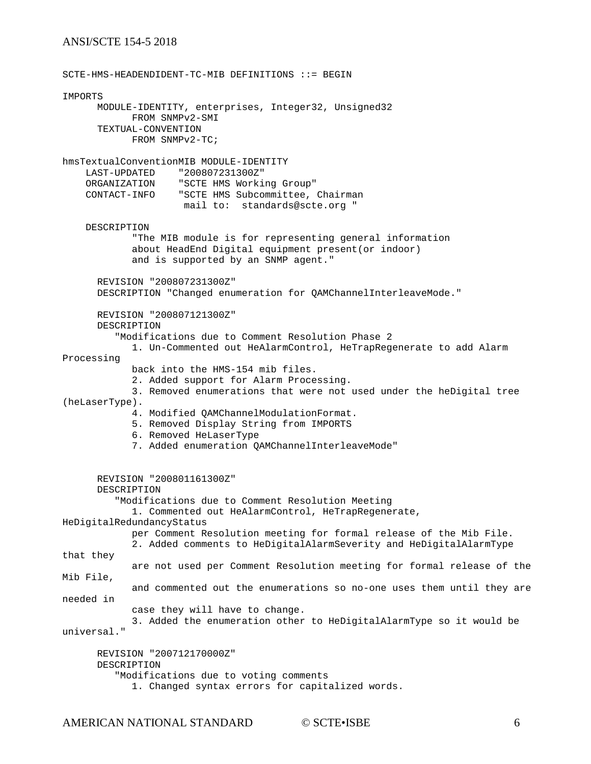### ANSI/SCTE 154-5 2018

SCTE-HMS-HEADENDIDENT-TC-MIB DEFINITIONS ::= BEGIN IMPORTS MODULE-IDENTITY, enterprises, Integer32, Unsigned32 FROM SNMPv2-SMI TEXTUAL-CONVENTION FROM SNMPv2-TC; hmsTextualConventionMIB MODULE-IDENTITY LAST-UPDATED "200807231300Z" ORGANIZATION "SCTE HMS Working Group" CONTACT-INFO "SCTE HMS Subcommittee, Chairman mail to: standards@scte.org " DESCRIPTION "The MIB module is for representing general information about HeadEnd Digital equipment present(or indoor) and is supported by an SNMP agent." REVISION "200807231300Z" DESCRIPTION "Changed enumeration for QAMChannelInterleaveMode." REVISION "200807121300Z" DESCRIPTION "Modifications due to Comment Resolution Phase 2 1. Un-Commented out HeAlarmControl, HeTrapRegenerate to add Alarm Processing back into the HMS-154 mib files. 2. Added support for Alarm Processing. 3. Removed enumerations that were not used under the heDigital tree (heLaserType). 4. Modified QAMChannelModulationFormat. 5. Removed Display String from IMPORTS 6. Removed HeLaserType 7. Added enumeration QAMChannelInterleaveMode" REVISION "200801161300Z" DESCRIPTION "Modifications due to Comment Resolution Meeting 1. Commented out HeAlarmControl, HeTrapRegenerate, HeDigitalRedundancyStatus per Comment Resolution meeting for formal release of the Mib File. 2. Added comments to HeDigitalAlarmSeverity and HeDigitalAlarmType that they are not used per Comment Resolution meeting for formal release of the Mib File, and commented out the enumerations so no-one uses them until they are needed in case they will have to change. 3. Added the enumeration other to HeDigitalAlarmType so it would be universal." REVISION "200712170000Z" DESCRIPTION "Modifications due to voting comments 1. Changed syntax errors for capitalized words.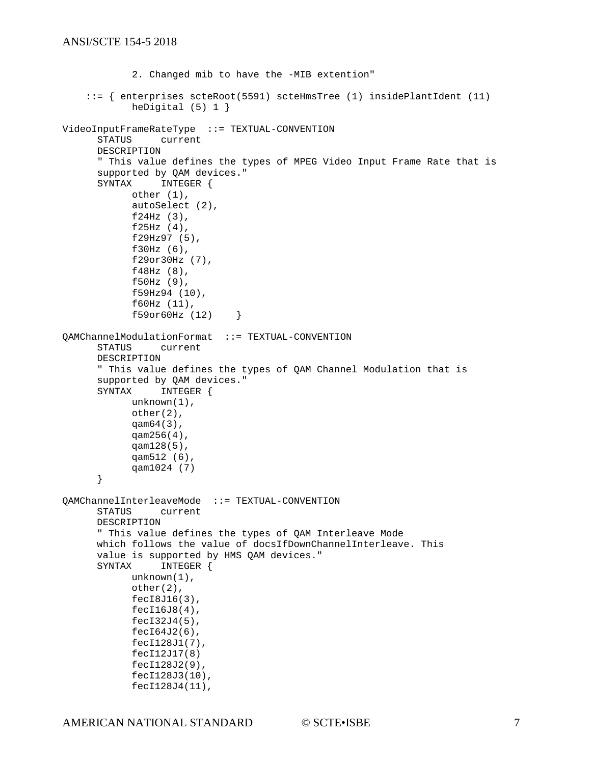```
2. Changed mib to have the -MIB extention"
     ::= { enterprises scteRoot(5591) scteHmsTree (1) insidePlantIdent (11) 
            heDigital (5) 1 }
VideoInputFrameRateType ::= TEXTUAL-CONVENTION
                current
      DESCRIPTION 
       " This value defines the types of MPEG Video Input Frame Rate that is
      supported by QAM devices."<br>SYNTAX INTEGER {
                INTEGER {
            other (1),
            autoSelect (2),
            f24Hz (3),
            f25Hz (4),
            f29Hz97 (5),
            f30Hz (6),
            f29or30Hz (7),
            f48Hz (8),
            f50Hz (9),
            f59Hz94 (10),
            f60Hz (11),
            f59or60Hz (12) }
QAMChannelModulationFormat ::= TEXTUAL-CONVENTION
      STATUS current
      DESCRIPTION 
       " This value defines the types of QAM Channel Modulation that is
      supported by QAM devices."<br>SYNTAX INTEGER {
                INTEGER {
            unknown(1),
            other(2),
            qam64(3),
            qam256(4),
            qam128(5),
            qam512 (6),
            qam1024 (7)
      }
QAMChannelInterleaveMode ::= TEXTUAL-CONVENTION
      STATUS current
      DESCRIPTION 
       " This value defines the types of QAM Interleave Mode 
      which follows the value of docsIfDownChannelInterleave. This
      value is supported by HMS QAM devices."<br>SYNTAX INTEGER {
                 INTEGER {
            unknown(1),
            other(2),
            fecI8J16(3),
            fecI16J8(4),
            fecI32J4(5),
            fecI64J2(6),
            fecI128J1(7),
            fecI12J17(8)
            fecI128J2(9),
            fecI128J3(10),
            fecI128J4(11),
```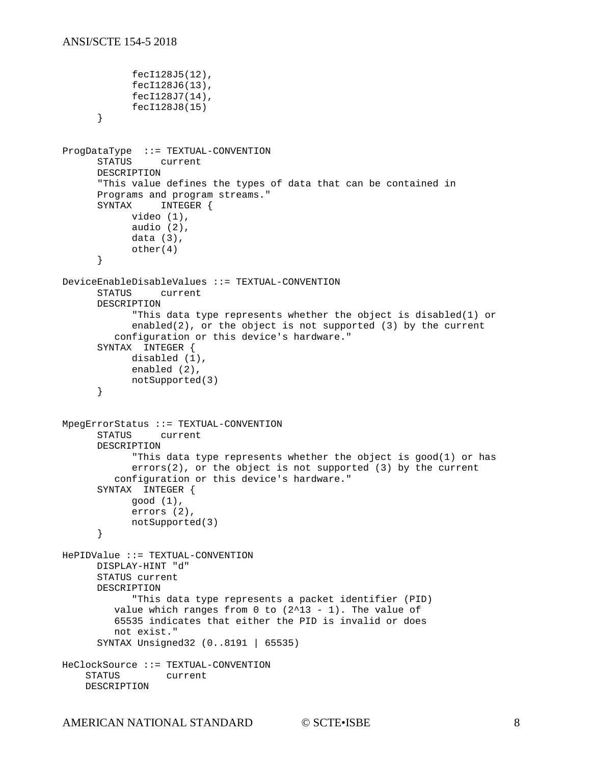```
fecI128J5(12),
            fecI128J6(13),
            fecI128J7(14),
            fecI128J8(15)
      }
ProgDataType ::= TEXTUAL-CONVENTION<br>STATUS current
                current
      DESCRIPTION 
      "This value defines the types of data that can be contained in 
      Programs and program streams."<br>SYNTAX INTEGER {
                INTEGER {
            video (1),
            audio (2),
            data (3),
            other(4)
      }
DeviceEnableDisableValues ::= TEXTUAL-CONVENTION
      STATUS current
      DESCRIPTION 
            "This data type represents whether the object is disabled(1) or 
            enabled(2), or the object is not supported (3) by the current
          configuration or this device's hardware."
      SYNTAX INTEGER {
           disabled (1),
            enabled (2),
            notSupported(3)
      }
MpegErrorStatus ::= TEXTUAL-CONVENTION
      STATUS current
      DESCRIPTION 
            "This data type represents whether the object is good(1) or has 
            errors(2), or the object is not supported (3) by the current
          configuration or this device's hardware."
      SYNTAX INTEGER {
           good (1),
            errors (2),
            notSupported(3)
      }
HePIDValue ::= TEXTUAL-CONVENTION
      DISPLAY-HINT "d"
      STATUS current
      DESCRIPTION 
            "This data type represents a packet identifier (PID)
         value which ranges from 0 to (2^13 - 1). The value of
          65535 indicates that either the PID is invalid or does
          not exist."
      SYNTAX Unsigned32 (0..8191 | 65535)
HeClockSource ::= TEXTUAL-CONVENTION<br>STATUS current
            current
     DESCRIPTION
```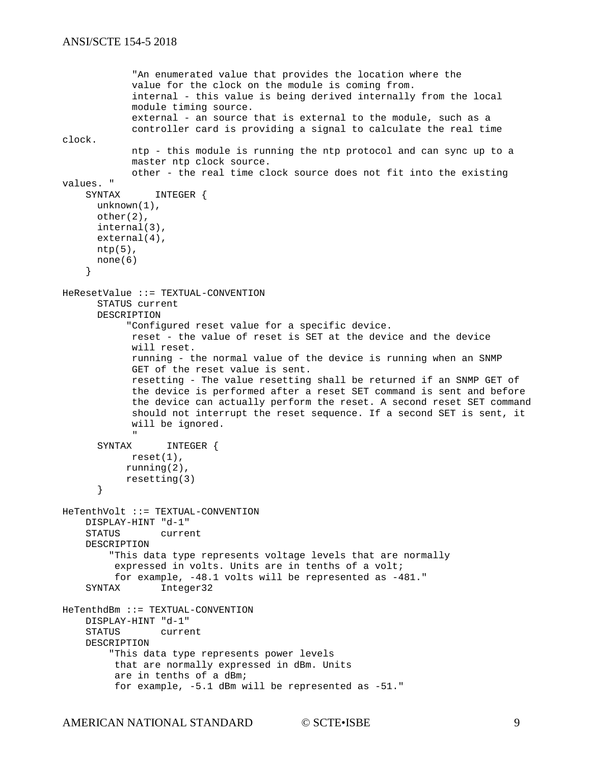```
 "An enumerated value that provides the location where the
               value for the clock on the module is coming from.
               internal - this value is being derived internally from the local 
               module timing source.
              external - an source that is external to the module, such as a
               controller card is providing a signal to calculate the real time 
clock.
              ntp - this module is running the ntp protocol and can sync up to a 
              master ntp clock source.
               other - the real time clock source does not fit into the existing 
values. "<br>SYNTAX
                  INTEGER {
      unknown(1),
       other(2),
        internal(3),
        external(4),
       ntp(5),
       none(6)
      }
HeResetValue ::= TEXTUAL-CONVENTION
       STATUS current
       DESCRIPTION
              "Configured reset value for a specific device. 
              reset - the value of reset is SET at the device and the device
               will reset.
               running - the normal value of the device is running when an SNMP
               GET of the reset value is sent.
              resetting - The value resetting shall be returned if an SNMP GET of 
               the device is performed after a reset SET command is sent and before
               the device can actually perform the reset. A second reset SET command
               should not interrupt the reset sequence. If a second SET is sent, it 
              will be ignored.
" "The Contract of the Contract of the Contract of the Contract of the Contract of the Contract of the Contract<br>"The Contract of the Contract of the Contract of the Contract of the Contract of the Contract of the Contract 
       SYNTAX INTEGER {
             reset(1),
             running(2),
             resetting(3)
        }
HeTenthVolt ::= TEXTUAL-CONVENTION
     DISPLAY-HINT "d-1"
     STATUS current
     DESCRIPTION
          "This data type represents voltage levels that are normally
           expressed in volts. Units are in tenths of a volt;
     for example, -48.1 volts will be represented as -481."
                   Integer32
HeTenthdBm ::= TEXTUAL-CONVENTION
    DISPLAY-HINT "d-1"<br>STATUS curre
                   current
     DESCRIPTION
          "This data type represents power levels 
           that are normally expressed in dBm. Units 
           are in tenths of a dBm;
           for example, -5.1 dBm will be represented as -51."
```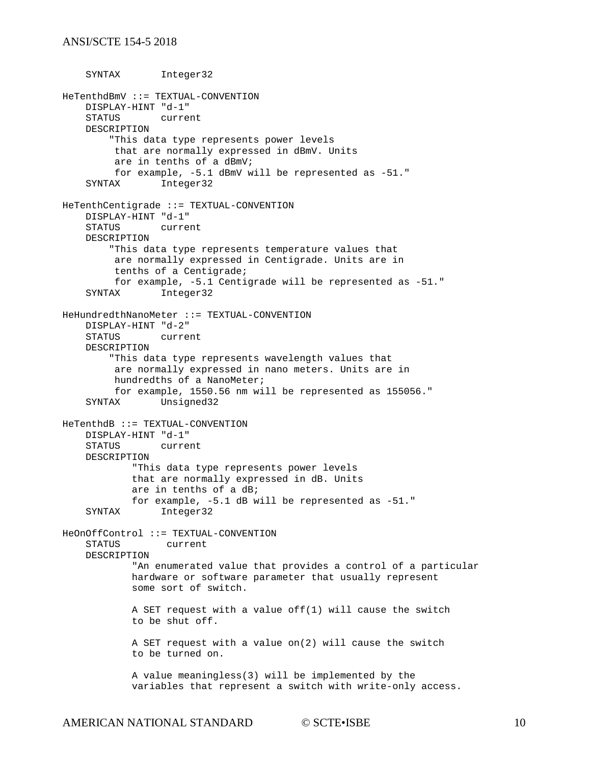### ANSI/SCTE 154-5 2018

 SYNTAX Integer32 HeTenthdBmV ::= TEXTUAL-CONVENTION DISPLAY-HINT "d-1"<br>STATUS curre: current DESCRIPTION "This data type represents power levels that are normally expressed in dBmV. Units are in tenths of a dBmV; for example, -5.1 dBmV will be represented as -51." Integer32 HeTenthCentigrade ::= TEXTUAL-CONVENTION DISPLAY-HINT "d-1" current DESCRIPTION "This data type represents temperature values that are normally expressed in Centigrade. Units are in tenths of a Centigrade; for example, -5.1 Centigrade will be represented as -51." Integer32 HeHundredthNanoMeter ::= TEXTUAL-CONVENTION DISPLAY-HINT "d-2" current DESCRIPTION "This data type represents wavelength values that are normally expressed in nano meters. Units are in hundredths of a NanoMeter; for example, 1550.56 nm will be represented as 155056." Unsigned32 HeTenthdB ::= TEXTUAL-CONVENTION DISPLAY-HINT "d-1" current DESCRIPTION "This data type represents power levels that are normally expressed in dB. Units are in tenths of a dB; for example, -5.1 dB will be represented as -51." Integer32 HeOnOffControl ::= TEXTUAL-CONVENTION STATUS current DESCRIPTION "An enumerated value that provides a control of a particular hardware or software parameter that usually represent some sort of switch. A SET request with a value off(1) will cause the switch to be shut off. A SET request with a value on(2) will cause the switch to be turned on. A value meaningless(3) will be implemented by the variables that represent a switch with write-only access.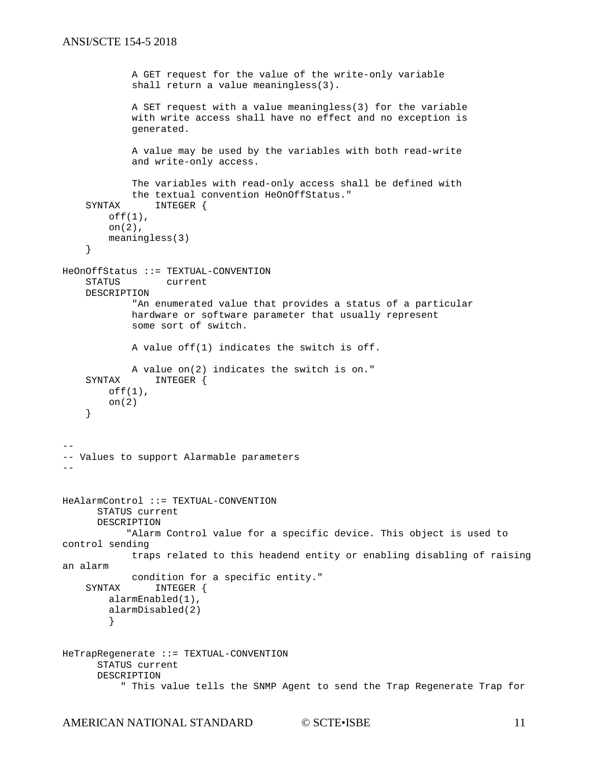```
 A GET request for the value of the write-only variable
              shall return a value meaningless(3). 
             A SET request with a value meaningless(3) for the variable
             with write access shall have no effect and no exception is
             generated.
             A value may be used by the variables with both read-write
              and write-only access.
              The variables with read-only access shall be defined with 
    the textual convention HeOnOffStatus."<br>SYNTAX INTEGER {
                 INTEGER {
        off(1),
         on(2),
         meaningless(3)
     }
HeOnOffStatus ::= TEXTUAL-CONVENTION<br>STATUS current
                   current
     DESCRIPTION
              "An enumerated value that provides a status of a particular
             hardware or software parameter that usually represent
              some sort of switch.
             A value off(1) indicates the switch is off. 
    A value on(2) indicates the switch is on."<br>SYNTAX INTEGER {
                 INTEGER {
        off(1),
         on(2)
     }
--
-- Values to support Alarmable parameters
--
HeAlarmControl ::= TEXTUAL-CONVENTION
      STATUS current
      DESCRIPTION
             "Alarm Control value for a specific device. This object is used to 
control sending
             traps related to this headend entity or enabling disabling of raising 
an alarm
    condition for a specific entity."<br>SYNTAX INTEGER {
                INTEGER {
         alarmEnabled(1),
         alarmDisabled(2)
 }
HeTrapRegenerate ::= TEXTUAL-CONVENTION
      STATUS current
      DESCRIPTION
            " This value tells the SNMP Agent to send the Trap Regenerate Trap for
```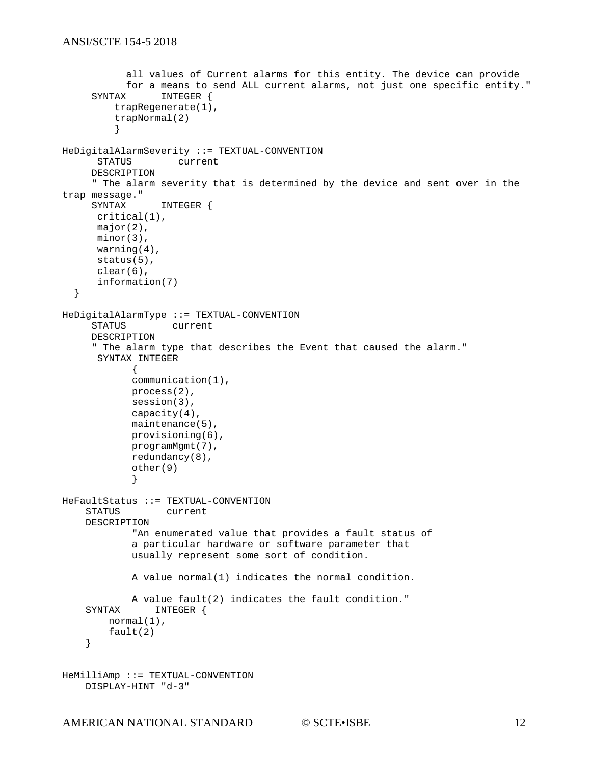```
 all values of Current alarms for this entity. The device can provide
     for a means to send ALL current alarms, not just one specific entity."<br>SYNTAX INTEGER {
                INTEGER {
          trapRegenerate(1),
          trapNormal(2)
 }
HeDigitalAlarmSeverity ::= TEXTUAL-CONVENTION
                   current
      DESCRIPTION
      " The alarm severity that is determined by the device and sent over in the 
trap message."
                 INTEGER {
      critical(1),
      major(2),
      minor(3),
      warning(4),
      status(5),
      clear(6),
      information(7)
   }
HeDigitalAlarmType ::= TEXTUAL-CONVENTION
                   current
      DESCRIPTION
      " The alarm type that describes the Event that caused the alarm."
      SYNTAX INTEGER
            {
            communication(1),
            process(2),
            session(3),
            capacity(4),
            maintenance(5),
            provisioning(6),
            programMgmt(7),
            redundancy(8),
            other(9)
             }
HeFaultStatus ::= TEXTUAL-CONVENTION<br>STATUS current
                 current
     DESCRIPTION
              "An enumerated value that provides a fault status of
             a particular hardware or software parameter that
             usually represent some sort of condition.
             A value normal(1) indicates the normal condition. 
    A value fault(2) indicates the fault condition."<br>SYNTAX INTEGER {
               INTEGER {
         normal(1),
         fault(2)
     }
HeMilliAmp ::= TEXTUAL-CONVENTION
     DISPLAY-HINT "d-3"
```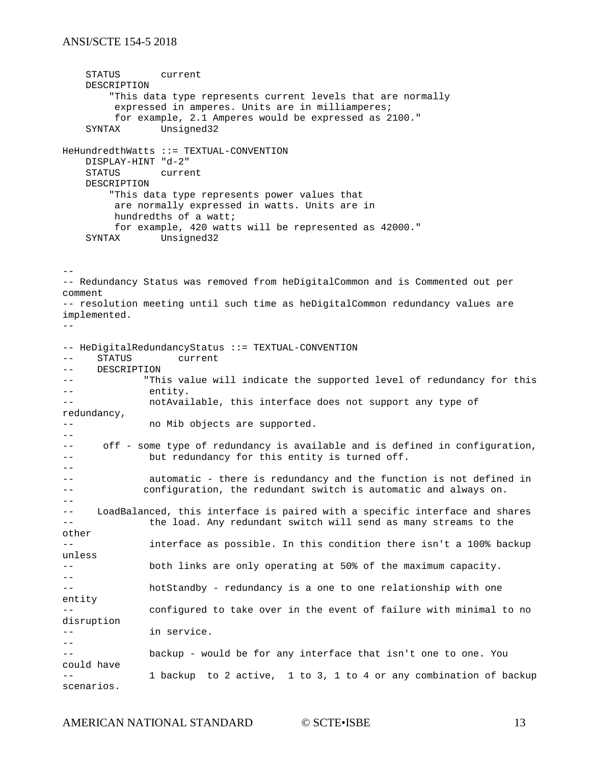STATUS current DESCRIPTION "This data type represents current levels that are normally expressed in amperes. Units are in milliamperes; for example, 2.1 Amperes would be expressed as 2100." SYNTAX Unsigned32 HeHundredthWatts ::= TEXTUAL-CONVENTION DISPLAY-HINT "d-2" current DESCRIPTION "This data type represents power values that are normally expressed in watts. Units are in hundredths of a watt; for example, 420 watts will be represented as 42000." SYNTAX Unsigned32 -- -- Redundancy Status was removed from heDigitalCommon and is Commented out per comment -- resolution meeting until such time as heDigitalCommon redundancy values are implemented. -- -- HeDigitalRedundancyStatus ::= TEXTUAL-CONVENTION<br>-- STATUS current -- STATUS current<br>-- DESCRIPTION -- DESCRIPTION<br>-- "Thi -- "This value will indicate the supported level of redundancy for this<br>contitive -- entity.<br>-- entity. notAvailable, this interface does not support any type of redundancy, -- **no Mib objects are supported.** -- -- off - some type of redundancy is available and is defined in configuration, -- but redundancy for this entity is turned off. - automatic - there is redundancy and the function is not defined in -- configuration, the redundant switch is automatic and always on.  $- -$ -- LoadBalanced, this interface is paired with a specific interface and shares the load. Any redundant switch will send as many streams to the other -- interface as possible. In this condition there isn't a 100% backup unless -- both links are only operating at 50% of the maximum capacity. - hotStandby - redundancy is a one to one relationship with one entity configured to take over in the event of failure with minimal to no disruption -- in service.  $- -$ -- backup - would be for any interface that isn't one to one. You could have 1 backup to 2 active, 1 to 3, 1 to 4 or any combination of backup scenarios.